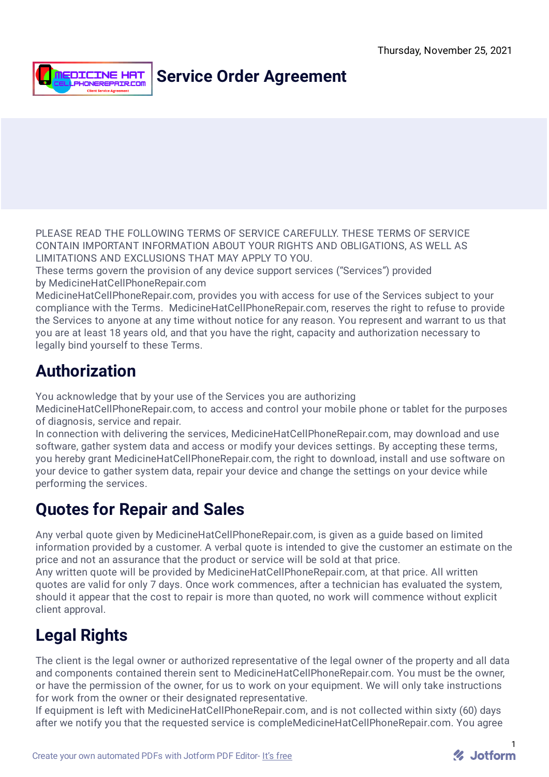

### **Service Order Agreement**

PLEASE READ THE FOLLOWING TERMS OF SERVICE CAREFULLY. THESE TERMS OF SERVICE CONTAIN IMPORTANT INFORMATION ABOUT YOUR RIGHTS AND OBLIGATIONS, AS WELL AS LIMITATIONS AND EXCLUSIONS THAT MAY APPLY TO YOU.

These terms govern the provision of any device support services ("Services") provided by MedicineHatCellPhoneRepair.com

MedicineHatCellPhoneRepair.com, provides you with access for use of the Services subject to your compliance with the Terms. MedicineHatCellPhoneRepair.com, reserves the right to refuse to provide the Services to anyone at any time without notice for any reason. You represent and warrant to us that you are at least 18 years old, and that you have the right, capacity and authorization necessary to legally bind yourself to these Terms.

### **Authorization**

You acknowledge that by your use of the Services you are authorizing

MedicineHatCellPhoneRepair.com, to access and control your mobile phone or tablet for the purposes of diagnosis, service and repair.

In connection with delivering the services, MedicineHatCellPhoneRepair.com, may download and use software, gather system data and access or modify your devices settings. By accepting these terms, you hereby grant MedicineHatCellPhoneRepair.com, the right to download, install and use software on your device to gather system data, repair your device and change the settings on your device while performing the services.

#### **Quotes for Repair and Sales**

Any verbal quote given by MedicineHatCellPhoneRepair.com, is given as a guide based on limited information provided by a customer. A verbal quote is intended to give the customer an estimate on the price and not an assurance that the product or service will be sold at that price.

Any written quote will be provided by MedicineHatCellPhoneRepair.com, at that price. All written quotes are valid for only 7 days. Once work commences, after a technician has evaluated the system, should it appear that the cost to repair is more than quoted, no work will commence without explicit client approval.

# **Legal Rights**

The client is the legal owner or authorized representative of the legal owner of the property and all data and components contained therein sent to MedicineHatCellPhoneRepair.com. You must be the owner, or have the permission of the owner, for us to work on your equipment. We will only take instructions for work from the owner or their designated representative.

If equipment is left with MedicineHatCellPhoneRepair.com, and is not collected within sixty (60) days after we notify you that the requested service is compleMedicineHatCellPhoneRepair.com. You agree